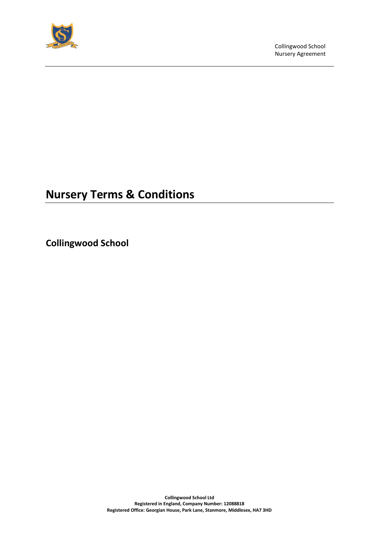

# **Nursery Terms & Conditions**

**Collingwood School**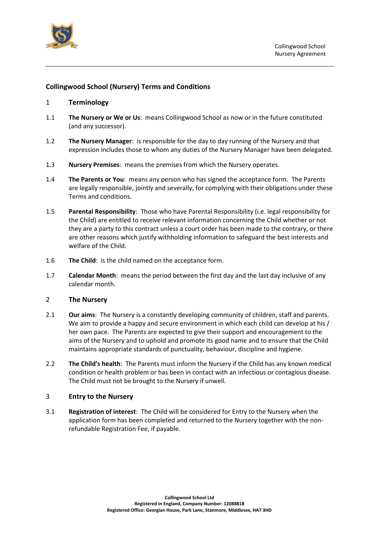

## **Collingwood School (Nursery) Terms and Conditions**

#### 1 **Terminology**

- 1.1 **The Nursery or We or Us**: means Collingwood School as now or in the future constituted (and any successor).
- 1.2 **The Nursery Manager**: is responsible for the day to day running of the Nursery and that expression includes those to whom any duties of the Nursery Manager have been delegated.
- 1.3 **Nursery Premises**: means the premises from which the Nursery operates.
- 1.4 **The Parents or You**: means any person who has signed the acceptance form. The Parents are legally responsible, jointly and severally, for complying with their obligations under these Terms and conditions.
- 1.5 **Parental Responsibility**: Those who have Parental Responsibility (i.e. legal responsibility for the Child) are entitled to receive relevant information concerning the Child whether or not they are a party to this contract unless a court order has been made to the contrary, or there are other reasons which justify withholding information to safeguard the best interests and welfare of the Child.
- 1.6 **The Child**: is the child named on the acceptance form.
- 1.7 **Calendar Month**: means the period between the first day and the last day inclusive of any calendar month.

#### 2 **The Nursery**

- 2.1 **Our aims**: The Nursery is a constantly developing community of children, staff and parents. We aim to provide a happy and secure environment in which each child can develop at his / her own pace. The Parents are expected to give their support and encouragement to the aims of the Nursery and to uphold and promote its good name and to ensure that the Child maintains appropriate standards of punctuality, behaviour, discipline and hygiene.
- 2.2 **The Child's health**: The Parents must inform the Nursery if the Child has any known medical condition or health problem or has been in contact with an infectious or contagious disease. The Child must not be brought to the Nursery if unwell.

#### 3 **Entry to the Nursery**

3.1 **Registration of interest**: The Child will be considered for Entry to the Nursery when the application form has been completed and returned to the Nursery together with the nonrefundable Registration Fee, if payable.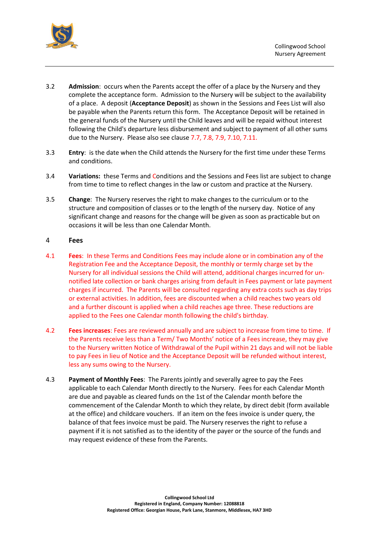

- 3.2 **Admission**: occurs when the Parents accept the offer of a place by the Nursery and they complete the acceptance form. Admission to the Nursery will be subject to the availability of a place. A deposit (**Acceptance Deposit**) as shown in the Sessions and Fees List will also be payable when the Parents return this form. The Acceptance Deposit will be retained in the general funds of the Nursery until the Child leaves and will be repaid without interest following the Child's departure less disbursement and subject to payment of all other sums due to the Nursery. Please also see clause 7.7, 7.8, 7.9, 7.10, 7.11.
- <span id="page-2-0"></span>3.3 **Entry**: is the date when the Child attends the Nursery for the first time under these Terms and conditions.
- 3.4 **Variations:** these Terms and Conditions and the Sessions and Fees list are subject to change from time to time to reflect changes in the law or custom and practice at the Nursery.
- 3.5 **Change**: The Nursery reserves the right to make changes to the curriculum or to the structure and composition of classes or to the length of the nursery day. Notice of any significant change and reasons for the change will be given as soon as practicable but on occasions it will be less than one Calendar Month.

#### 4 **Fees**

- 4.1 **Fees**: In these Terms and Conditions Fees may include alone or in combination any of the Registration Fee and the Acceptance Deposit, the monthly or termly charge set by the Nursery for all individual sessions the Child will attend, additional charges incurred for unnotified late collection or bank charges arising from default in Fees payment or late payment charges if incurred. The Parents will be consulted regarding any extra costs such as day trips or external activities. In addition, fees are discounted when a child reaches two years old and a further discount is applied when a child reaches age three. These reductions are applied to the Fees one Calendar month following the child's birthday.
- 4.2 **Fees increases**: Fees are reviewed annually and are subject to increase from time to time. If the Parents receive less than a Term/ Two Months' notice of a Fees increase, they may give to the Nursery written Notice of Withdrawal of the Pupil within 21 days and will not be liable to pay Fees in lieu of Notice and the Acceptance Deposit will be refunded without interest, less any sums owing to the Nursery.
- 4.3 **Payment of Monthly Fees**: The Parents jointly and severally agree to pay the Fees applicable to each Calendar Month directly to the Nursery. Fees for each Calendar Month are due and payable as cleared funds on the 1st of the Calendar month before the commencement of the Calendar Month to which they relate, by direct debit (form available at the office) and childcare vouchers. If an item on the fees invoice is under query, the balance of that fees invoice must be paid. The Nursery reserves the right to refuse a payment if it is not satisfied as to the identity of the payer or the source of the funds and may request evidence of these from the Parents.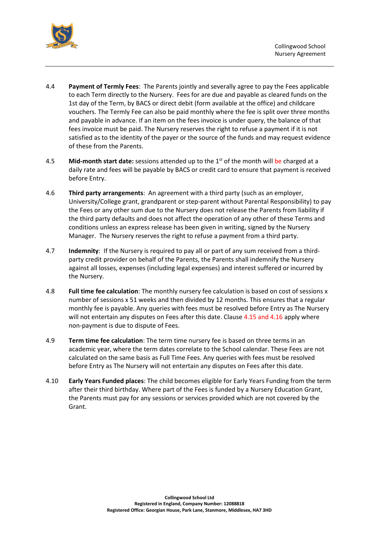

- 4.4 **Payment of Termly Fees**: The Parents jointly and severally agree to pay the Fees applicable to each Term directly to the Nursery. Fees for are due and payable as cleared funds on the 1st day of the Term, by BACS or direct debit (form available at the office) and childcare vouchers. The Termly Fee can also be paid monthly where the fee is split over three months and payable in advance. If an item on the fees invoice is under query, the balance of that fees invoice must be paid. The Nursery reserves the right to refuse a payment if it is not satisfied as to the identity of the payer or the source of the funds and may request evidence of these from the Parents.
- 4.5 **Mid-month start date:** sessions attended up to the 1<sup>st</sup> of the month will be charged at a daily rate and fees will be payable by BACS or credit card to ensure that payment is received before Entry.
- 4.6 **Third party arrangements**: An agreement with a third party (such as an employer, University/College grant, grandparent or step-parent without Parental Responsibility) to pay the Fees or any other sum due to the Nursery does not release the Parents from liability if the third party defaults and does not affect the operation of any other of these Terms and conditions unless an express release has been given in writing, signed by the Nursery Manager. The Nursery reserves the right to refuse a payment from a third party.
- 4.7 **Indemnity**: If the Nursery is required to pay all or part of any sum received from a thirdparty credit provider on behalf of the Parents, the Parents shall indemnify the Nursery against all losses, expenses (including legal expenses) and interest suffered or incurred by the Nursery.
- 4.8 **Full time fee calculation**: The monthly nursery fee calculation is based on cost of sessions x number of sessions x 51 weeks and then divided by 12 months. This ensures that a regular monthly fee is payable. Any queries with fees must be resolved before Entry as The Nursery will not entertain any disputes on Fees after this date. Clause 4.15 and 4.16 apply where non-payment is due to dispute of Fees.
- 4.9 **Term time fee calculation**: The term time nursery fee is based on three terms in an academic year, where the term dates correlate to the School calendar. These Fees are not calculated on the same basis as Full Time Fees. Any queries with fees must be resolved before Entry as The Nursery will not entertain any disputes on Fees after this date.
- 4.10 **Early Years Funded places**: The child becomes eligible for Early Years Funding from the term after their third birthday. Where part of the Fees is funded by a Nursery Education Grant, the Parents must pay for any sessions or services provided which are not covered by the Grant.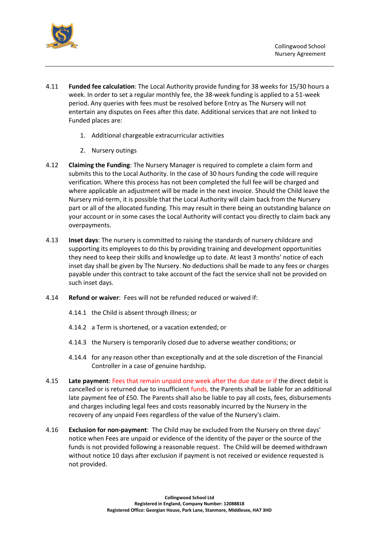

- 4.11 **Funded fee calculation**: The Local Authority provide funding for 38 weeks for 15/30 hours a week. In order to set a regular monthly fee, the 38-week funding is applied to a 51-week period. Any queries with fees must be resolved before Entry as The Nursery will not entertain any disputes on Fees after this date. Additional services that are not linked to Funded places are:
	- 1. Additional chargeable extracurricular activities
	- 2. Nursery outings
- 4.12 **Claiming the Funding**: The Nursery Manager is required to complete a claim form and submits this to the Local Authority. In the case of 30 hours funding the code will require verification. Where this process has not been completed the full fee will be charged and where applicable an adjustment will be made in the next invoice. Should the Child leave the Nursery mid-term, it is possible that the Local Authority will claim back from the Nursery part or all of the allocated funding. This may result in there being an outstanding balance on your account or in some cases the Local Authority will contact you directly to claim back any overpayments.
- 4.13 **Inset days**: The nursery is committed to raising the standards of nursery childcare and supporting its employees to do this by providing training and development opportunities they need to keep their skills and knowledge up to date. At least 3 months' notice of each inset day shall be given by The Nursery. No deductions shall be made to any fees or charges payable under this contract to take account of the fact the service shall not be provided on such inset days.
- 4.14 **Refund or waiver**: Fees will not be refunded reduced or waived if:
	- 4.14.1 the Child is absent through illness; or
	- 4.14.2 a Term is shortened, or a vacation extended; or
	- 4.14.3 the Nursery is temporarily closed due to adverse weather conditions; or
	- 4.14.4 for any reason other than exceptionally and at the sole discretion of the Financial Controller in a case of genuine hardship.
- 4.15 **Late payment**: Fees that remain unpaid one week after the due date or if the direct debit is cancelled or is returned due to insufficient funds, the Parents shall be liable for an additional late payment fee of £50. The Parents shall also be liable to pay all costs, fees, disbursements and charges including legal fees and costs reasonably incurred by the Nursery in the recovery of any unpaid Fees regardless of the value of the Nursery's claim.
- 4.16 **Exclusion for non-payment**: The Child may be excluded from the Nursery on three days' notice when Fees are unpaid or evidence of the identity of the payer or the source of the funds is not provided following a reasonable request. The Child will be deemed withdrawn without notice 10 days after exclusion if payment is not received or evidence requested is not provided.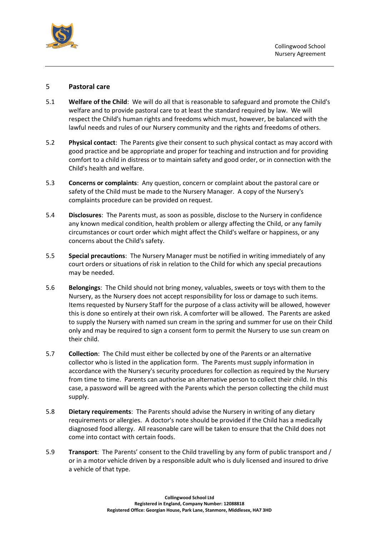

## 5 **Pastoral care**

- 5.1 **Welfare of the Child**: We will do all that is reasonable to safeguard and promote the Child's welfare and to provide pastoral care to at least the standard required by law. We will respect the Child's human rights and freedoms which must, however, be balanced with the lawful needs and rules of our Nursery community and the rights and freedoms of others.
- 5.2 **Physical contact**: The Parents give their consent to such physical contact as may accord with good practice and be appropriate and proper for teaching and instruction and for providing comfort to a child in distress or to maintain safety and good order, or in connection with the Child's health and welfare.
- 5.3 **Concerns or complaints**: Any question, concern or complaint about the pastoral care or safety of the Child must be made to the Nursery Manager. A copy of the Nursery's complaints procedure can be provided on request.
- 5.4 **Disclosures**: The Parents must, as soon as possible, disclose to the Nursery in confidence any known medical condition, health problem or allergy affecting the Child, or any family circumstances or court order which might affect the Child's welfare or happiness, or any concerns about the Child's safety.
- 5.5 **Special precautions**: The Nursery Manager must be notified in writing immediately of any court orders or situations of risk in relation to the Child for which any special precautions may be needed.
- 5.6 **Belongings**: The Child should not bring money, valuables, sweets or toys with them to the Nursery, as the Nursery does not accept responsibility for loss or damage to such items. Items requested by Nursery Staff for the purpose of a class activity will be allowed, however this is done so entirely at their own risk. A comforter will be allowed. The Parents are asked to supply the Nursery with named sun cream in the spring and summer for use on their Child only and may be required to sign a consent form to permit the Nursery to use sun cream on their child.
- 5.7 **Collection**: The Child must either be collected by one of the Parents or an alternative collector who is listed in the application form. The Parents must supply information in accordance with the Nursery's security procedures for collection as required by the Nursery from time to time. Parents can authorise an alternative person to collect their child. In this case, a password will be agreed with the Parents which the person collecting the child must supply.
- 5.8 **Dietary requirements**: The Parents should advise the Nursery in writing of any dietary requirements or allergies. A doctor's note should be provided if the Child has a medically diagnosed food allergy. All reasonable care will be taken to ensure that the Child does not come into contact with certain foods.
- 5.9 **Transport**: The Parents' consent to the Child travelling by any form of public transport and / or in a motor vehicle driven by a responsible adult who is duly licensed and insured to drive a vehicle of that type.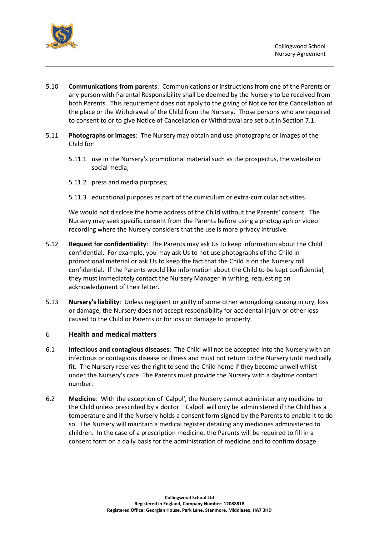

- 5.10 **Communications from parents**: Communications or instructions from one of the Parents or any person with Parental Responsibility shall be deemed by the Nursery to be received from both Parents. This requirement does not apply to the giving of Notice for the Cancellation of the place or the Withdrawal of the Child from the Nursery. Those persons who are required to consent to or to give Notice of Cancellation or Withdrawal are set out in Section [7.](#page-7-0)1.
- 5.11 **Photographs or images**: The Nursery may obtain and use photographs or images of the Child for:
	- 5.11.1 use in the Nursery's promotional material such as the prospectus, the website or social media;
	- 5.11.2 press and media purposes;
	- 5.11.3 educational purposes as part of the curriculum or extra-curricular activities.

We would not disclose the home address of the Child without the Parents' consent. The Nursery may seek specific consent from the Parents before using a photograph or video recording where the Nursery considers that the use is more privacy intrusive.

- 5.12 **Request for confidentiality**: The Parents may ask Us to keep information about the Child confidential. For example, you may ask Us to not use photographs of the Child in promotional material or ask Us to keep the fact that the Child is on the Nursery roll confidential. If the Parents would like information about the Child to be kept confidential, they must immediately contact the Nursery Manager in writing, requesting an acknowledgment of their letter.
- 5.13 **Nursery's liability**: Unless negligent or guilty of some other wrongdoing causing injury, loss or damage, the Nursery does not accept responsibility for accidental injury or other loss caused to the Child or Parents or for loss or damage to property.

#### 6 **Health and medical matters**

- 6.1 **Infectious and contagious diseases**: The Child will not be accepted into the Nursery with an infectious or contagious disease or illness and must not return to the Nursery until medically fit. The Nursery reserves the right to send the Child home if they become unwell whilst under the Nursery's care. The Parents must provide the Nursery with a daytime contact number.
- 6.2 **Medicine**: With the exception of 'Calpol', the Nursery cannot administer any medicine to the Child unless prescribed by a doctor. 'Calpol' will only be administered if the Child has a temperature and if the Nursery holds a consent form signed by the Parents to enable it to do so. The Nursery will maintain a medical register detailing any medicines administered to children. In the case of a prescription medicine, the Parents will be required to fill in a consent form on a daily basis for the administration of medicine and to confirm dosage.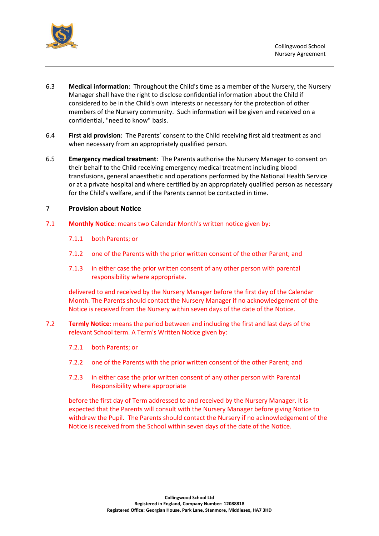

- 6.3 **Medical information**: Throughout the Child's time as a member of the Nursery, the Nursery Manager shall have the right to disclose confidential information about the Child if considered to be in the Child's own interests or necessary for the protection of other members of the Nursery community. Such information will be given and received on a confidential, "need to know" basis.
- 6.4 **First aid provision**: The Parents' consent to the Child receiving first aid treatment as and when necessary from an appropriately qualified person.
- 6.5 **Emergency medical treatment**: The Parents authorise the Nursery Manager to consent on their behalf to the Child receiving emergency medical treatment including blood transfusions, general anaesthetic and operations performed by the National Health Service or at a private hospital and where certified by an appropriately qualified person as necessary for the Child's welfare, and if the Parents cannot be contacted in time.

#### <span id="page-7-0"></span>7 **Provision about Notice**

- 7.1 **Monthly Notice**: means two Calendar Month's written notice given by:
	- 7.1.1 both Parents; or
	- 7.1.2 one of the Parents with the prior written consent of the other Parent; and
	- 7.1.3 in either case the prior written consent of any other person with parental responsibility where appropriate.

delivered to and received by the Nursery Manager before the first day of the Calendar Month. The Parents should contact the Nursery Manager if no acknowledgement of the Notice is received from the Nursery within seven days of the date of the Notice.

- 7.2 **Termly Notice:** means the period between and including the first and last days of the relevant School term. A Term's Written Notice given by:
	- 7.2.1 both Parents; or
	- 7.2.2 one of the Parents with the prior written consent of the other Parent; and
	- 7.2.3 in either case the prior written consent of any other person with Parental Responsibility where appropriate

before the first day of Term addressed to and received by the Nursery Manager. It is expected that the Parents will consult with the Nursery Manager before giving Notice to withdraw the Pupil. The Parents should contact the Nursery if no acknowledgement of the Notice is received from the School within seven days of the date of the Notice.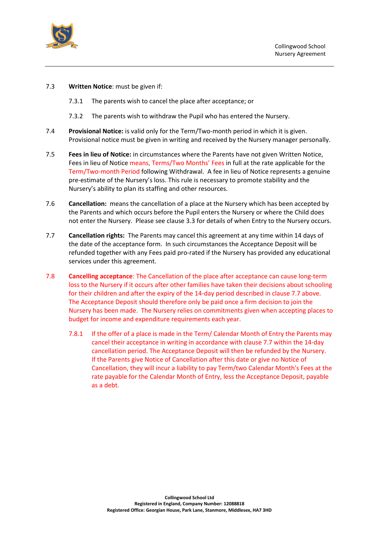

- 7.3 **Written Notice**: must be given if:
	- 7.3.1 The parents wish to cancel the place after acceptance; or
	- 7.3.2 The parents wish to withdraw the Pupil who has entered the Nursery.
- 7.4 **Provisional Notice:** is valid only for the Term/Two-month period in which it is given. Provisional notice must be given in writing and received by the Nursery manager personally.
- 7.5 **Fees in lieu of Notice:** in circumstances where the Parents have not given Written Notice, Fees in lieu of Notice means, Terms/Two Months' Fees in full at the rate applicable for the Term/Two-month Period following Withdrawal. A fee in lieu of Notice represents a genuine pre-estimate of the Nursery's loss. This rule is necessary to promote stability and the Nursery's ability to plan its staffing and other resources.
- 7.6 **Cancellation:** means the cancellation of a place at the Nursery which has been accepted by the Parents and which occurs before the Pupil enters the Nursery or where the Child does not enter the Nursery. Please see clause [3.3](#page-2-0) for details of when Entry to the Nursery occurs.
- 7.7 **Cancellation rights:** The Parents may cancel this agreement at any time within 14 days of the date of the acceptance form. In such circumstances the Acceptance Deposit will be refunded together with any Fees paid pro-rated if the Nursery has provided any educational services under this agreement.
- 7.8 **Cancelling acceptance**: The Cancellation of the place after acceptance can cause long-term loss to the Nursery if it occurs after other families have taken their decisions about schooling for their children and after the expiry of the 14-day period described in clause 7.7 above. The Acceptance Deposit should therefore only be paid once a firm decision to join the Nursery has been made. The Nursery relies on commitments given when accepting places to budget for income and expenditure requirements each year.
	- 7.8.1 If the offer of a place is made in the Term/ Calendar Month of Entry the Parents may cancel their acceptance in writing in accordance with clause 7.7 within the 14-day cancellation period. The Acceptance Deposit will then be refunded by the Nursery. If the Parents give Notice of Cancellation after this date or give no Notice of Cancellation, they will incur a liability to pay Term/two Calendar Month's Fees at the rate payable for the Calendar Month of Entry, less the Acceptance Deposit, payable as a debt.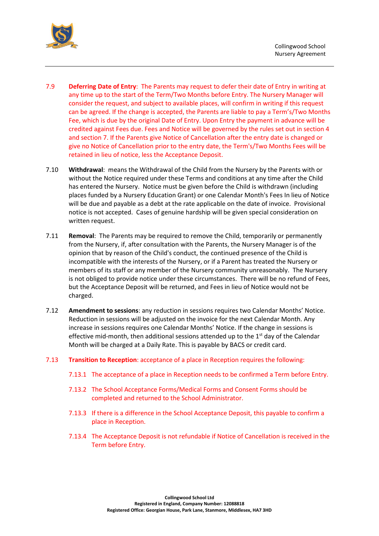

- 7.9 **Deferring Date of Entry**: The Parents may request to defer their date of Entry in writing at any time up to the start of the Term/Two Months before Entry. The Nursery Manager will consider the request, and subject to available places, will confirm in writing if this request can be agreed. If the change is accepted, the Parents are liable to pay a Term's/Two Months Fee, which is due by the original Date of Entry. Upon Entry the payment in advance will be credited against Fees due. Fees and Notice will be governed by the rules set out in section 4 and section 7. If the Parents give Notice of Cancellation after the entry date is changed or give no Notice of Cancellation prior to the entry date, the Term's/Two Months Fees will be retained in lieu of notice, less the Acceptance Deposit.
- 7.10 **Withdrawal**: means the Withdrawal of the Child from the Nursery by the Parents with or without the Notice required under these Terms and conditions at any time after the Child has entered the Nursery. Notice must be given before the Child is withdrawn (including places funded by a Nursery Education Grant) or one Calendar Month's Fees In lieu of Notice will be due and payable as a debt at the rate applicable on the date of invoice. Provisional notice is not accepted. Cases of genuine hardship will be given special consideration on written request.
- 7.11 **Removal**: The Parents may be required to remove the Child, temporarily or permanently from the Nursery, if, after consultation with the Parents, the Nursery Manager is of the opinion that by reason of the Child's conduct, the continued presence of the Child is incompatible with the interests of the Nursery, or if a Parent has treated the Nursery or members of its staff or any member of the Nursery community unreasonably. The Nursery is not obliged to provide notice under these circumstances. There will be no refund of Fees, but the Acceptance Deposit will be returned, and Fees in lieu of Notice would not be charged.
- 7.12 **Amendment to sessions**: any reduction in sessions requires two Calendar Months' Notice. Reduction in sessions will be adjusted on the invoice for the next Calendar Month. Any increase in sessions requires one Calendar Months' Notice. If the change in sessions is effective mid-month, then additional sessions attended up to the  $1<sup>st</sup>$  day of the Calendar Month will be charged at a Daily Rate. This is payable by BACS or credit card.
- 7.13 **Transition to Reception**: acceptance of a place in Reception requires the following:
	- 7.13.1 The acceptance of a place in Reception needs to be confirmed a Term before Entry.
	- 7.13.2 The School Acceptance Forms/Medical Forms and Consent Forms should be completed and returned to the School Administrator.
	- 7.13.3 If there is a difference in the School Acceptance Deposit, this payable to confirm a place in Reception.
	- 7.13.4 The Acceptance Deposit is not refundable if Notice of Cancellation is received in the Term before Entry.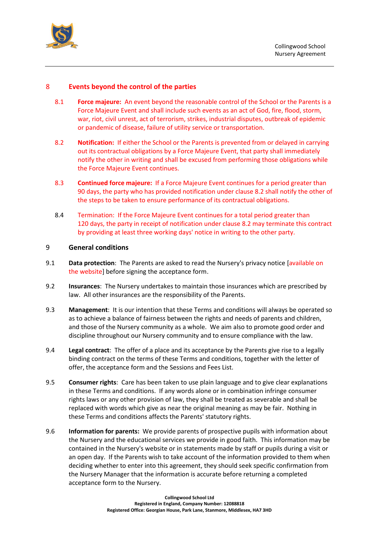

# 8 **Events beyond the control of the parties**

- 8.1 **Force majeure:** An event beyond the reasonable control of the School or the Parents is a Force Majeure Event and shall include such events as an act of God, fire, flood, storm, war, riot, civil unrest, act of terrorism, strikes, industrial disputes, outbreak of epidemic or pandemic of disease, failure of utility service or transportation.
- <span id="page-10-0"></span>8.2 **Notification:** If either the School or the Parents is prevented from or delayed in carrying out its contractual obligations by a Force Majeure Event, that party shall immediately notify the other in writing and shall be excused from performing those obligations while the Force Majeure Event continues.
- 8.3 **Continued force majeure:** If a Force Majeure Event continues for a period greater than 90 days, the party who has provided notification under clause [8.2](#page-10-0) shall notify the other of the steps to be taken to ensure performance of its contractual obligations.
- 8.4 Termination: If the Force Majeure Event continues for a total period greater than 120 days, the party in receipt of notification under clause [8.2](#page-10-0) may terminate this contract by providing at least three working days' notice in writing to the other party.

## 9 **General conditions**

- 9.1 **Data protection**: The Parents are asked to read the Nursery's privacy notice [available on the website] before signing the acceptance form.
- 9.2 **Insurances**: The Nursery undertakes to maintain those insurances which are prescribed by law. All other insurances are the responsibility of the Parents.
- 9.3 **Management**: It is our intention that these Terms and conditions will always be operated so as to achieve a balance of fairness between the rights and needs of parents and children, and those of the Nursery community as a whole. We aim also to promote good order and discipline throughout our Nursery community and to ensure compliance with the law.
- 9.4 **Legal contract**: The offer of a place and its acceptance by the Parents give rise to a legally binding contract on the terms of these Terms and conditions, together with the letter of offer, the acceptance form and the Sessions and Fees List.
- 9.5 **Consumer rights**: Care has been taken to use plain language and to give clear explanations in these Terms and conditions. If any words alone or in combination infringe consumer rights laws or any other provision of law, they shall be treated as severable and shall be replaced with words which give as near the original meaning as may be fair. Nothing in these Terms and conditions affects the Parents' statutory rights.
- 9.6 **Information for parents:** We provide parents of prospective pupils with information about the Nursery and the educational services we provide in good faith. This information may be contained in the Nursery's website or in statements made by staff or pupils during a visit or an open day. If the Parents wish to take account of the information provided to them when deciding whether to enter into this agreement, they should seek specific confirmation from the Nursery Manager that the information is accurate before returning a completed acceptance form to the Nursery.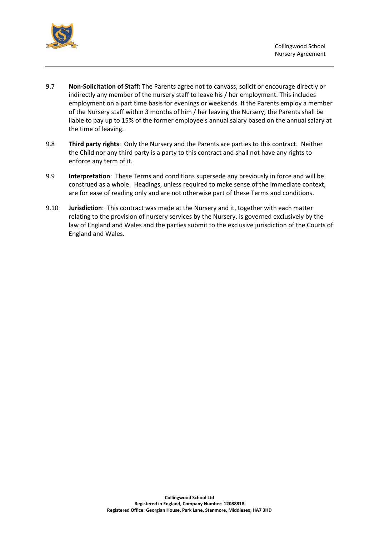

- 9.7 **Non-Solicitation of Staff:** The Parents agree not to canvass, solicit or encourage directly or indirectly any member of the nursery staff to leave his / her employment. This includes employment on a part time basis for evenings or weekends. If the Parents employ a member of the Nursery staff within 3 months of him / her leaving the Nursery, the Parents shall be liable to pay up to 15% of the former employee's annual salary based on the annual salary at the time of leaving.
- 9.8 **Third party rights**: Only the Nursery and the Parents are parties to this contract. Neither the Child nor any third party is a party to this contract and shall not have any rights to enforce any term of it.
- 9.9 **Interpretation**: These Terms and conditions supersede any previously in force and will be construed as a whole. Headings, unless required to make sense of the immediate context, are for ease of reading only and are not otherwise part of these Terms and conditions.
- 9.10 **Jurisdiction**: This contract was made at the Nursery and it, together with each matter relating to the provision of nursery services by the Nursery, is governed exclusively by the law of England and Wales and the parties submit to the exclusive jurisdiction of the Courts of England and Wales.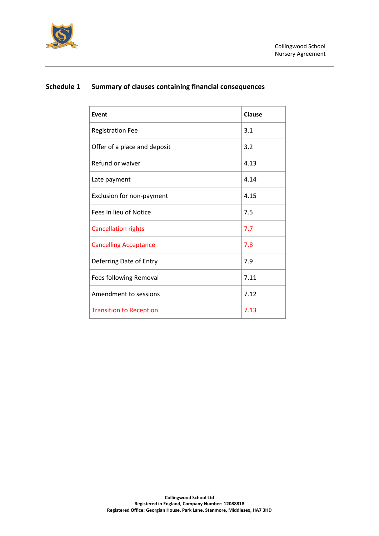

| Event                          | Clause |
|--------------------------------|--------|
| <b>Registration Fee</b>        | 3.1    |
| Offer of a place and deposit   | 3.2    |
| Refund or waiver               | 4.13   |
| Late payment                   | 4.14   |
| Exclusion for non-payment      | 4.15   |
| Fees in lieu of Notice         | 7.5    |
| <b>Cancellation rights</b>     | 7.7    |
| <b>Cancelling Acceptance</b>   | 7.8    |
| Deferring Date of Entry        | 7.9    |
| Fees following Removal         | 7.11   |
| Amendment to sessions          | 7.12   |
| <b>Transition to Reception</b> | 7.13   |

# **Schedule 1 Summary of clauses containing financial consequences**